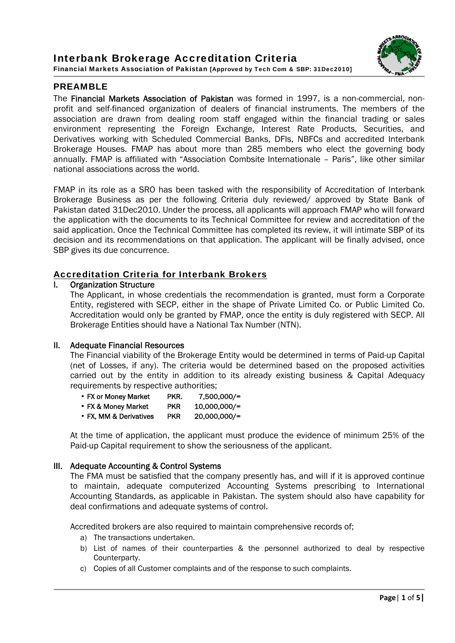## Interbank Brokerage Accreditation Criteria Financial Markets Association of Pakistan [Approved by Tech Com & SBP: 31Dec2010]



# PREAMBLE

The Financial Markets Association of Pakistan was formed in 1997, is a non-commercial, nonprofit and self-financed organization of dealers of financial instruments. The members of the association are drawn from dealing room staff engaged within the financial trading or sales environment representing the Foreign Exchange, Interest Rate Products, Securities, and Derivatives working with Scheduled Commercial Banks, DFIs, NBFCs and accredited Interbank Brokerage Houses. FMAP has about more than 285 members who elect the governing body annually. FMAP is affiliated with "Association Combsite Internationale – Paris", like other similar national associations across the world.

FMAP in its role as a SRO has been tasked with the responsibility of Accreditation of Interbank Brokerage Business as per the following Criteria duly reviewed/ approved by State Bank of Pakistan dated 31Dec2010. Under the process, all applicants will approach FMAP who will forward the application with the documents to its Technical Committee for review and accreditation of the said application. Once the Technical Committee has completed its review, it will intimate SBP of its decision and its recommendations on that application. The applicant will be finally advised, once SBP gives its due concurrence.

## Accreditation Criteria for Interbank Brokers

### I. Organization Structure

The Applicant, in whose credentials the recommendation is granted, must form a Corporate Entity, registered with SECP, either in the shape of Private Limited Co. or Public Limited Co. Accreditation would only be granted by FMAP, once the entity is duly registered with SECP. All Brokerage Entities should have a National Tax Number (NTN).

#### II. Adequate Financial Resources

The Financial viability of the Brokerage Entity would be determined in terms of Paid-up Capital (net of Losses, if any). The criteria would be determined based on the proposed activities carried out by the entity in addition to its already existing business & Capital Adequacy requirements by respective authorities;

| • FX or Money Market | PKR. | 7,500,000/= |
|----------------------|------|-------------|

- FX & Money Market PKR 10,000,000/=
- FX, MM & Derivatives PKR 20,000,000/=

At the time of application, the applicant must produce the evidence of minimum 25% of the Paid-up Capital requirement to show the seriousness of the applicant.

### III. Adequate Accounting & Control Systems

The FMA must be satisfied that the company presently has, and will if it is approved continue to maintain, adequate computerized Accounting Systems prescribing to International Accounting Standards, as applicable in Pakistan. The system should also have capability for deal confirmations and adequate systems of control.

Accredited brokers are also required to maintain comprehensive records of;

- a) The transactions undertaken.
- b) List of names of their counterparties & the personnel authorized to deal by respective Counterparty.
- c) Copies of all Customer complaints and of the response to such complaints.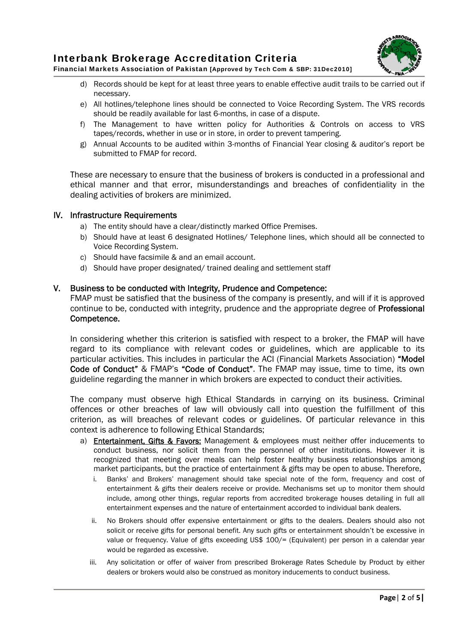



Financial Markets Association of Pakistan [Approved by Tech Com & SBP: 31Dec2010]

- d) Records should be kept for at least three years to enable effective audit trails to be carried out if necessary.
- e) All hotlines/telephone lines should be connected to Voice Recording System. The VRS records should be readily available for last 6-months, in case of a dispute.
- f) The Management to have written policy for Authorities & Controls on access to VRS tapes/records, whether in use or in store, in order to prevent tampering.
- g) Annual Accounts to be audited within 3-months of Financial Year closing & auditor's report be submitted to FMAP for record.

These are necessary to ensure that the business of brokers is conducted in a professional and ethical manner and that error, misunderstandings and breaches of confidentiality in the dealing activities of brokers are minimized.

### IV. Infrastructure Requirements

- a) The entity should have a clear/distinctly marked Office Premises.
- b) Should have at least 6 designated Hotlines/ Telephone lines, which should all be connected to Voice Recording System.
- c) Should have facsimile & and an email account.
- d) Should have proper designated/ trained dealing and settlement staff

### V. Business to be conducted with Integrity, Prudence and Competence:

FMAP must be satisfied that the business of the company is presently, and will if it is approved continue to be, conducted with integrity, prudence and the appropriate degree of Professional Competence.

In considering whether this criterion is satisfied with respect to a broker, the FMAP will have regard to its compliance with relevant codes or guidelines, which are applicable to its particular activities. This includes in particular the ACI (Financial Markets Association) "Model Code of Conduct" & FMAP's "Code of Conduct". The FMAP may issue, time to time, its own guideline regarding the manner in which brokers are expected to conduct their activities.

The company must observe high Ethical Standards in carrying on its business. Criminal offences or other breaches of law will obviously call into question the fulfillment of this criterion, as will breaches of relevant codes or guidelines. Of particular relevance in this context is adherence to following Ethical Standards;

- a) **Entertainment, Gifts & Favors:** Management & employees must neither offer inducements to conduct business, nor solicit them from the personnel of other institutions. However it is recognized that meeting over meals can help foster healthy business relationships among market participants, but the practice of entertainment & gifts may be open to abuse. Therefore,
	- i. Banks' and Brokers' management should take special note of the form, frequency and cost of entertainment & gifts their dealers receive or provide. Mechanisms set up to monitor them should include, among other things, regular reports from accredited brokerage houses detailing in full all entertainment expenses and the nature of entertainment accorded to individual bank dealers.
	- ii. No Brokers should offer expensive entertainment or gifts to the dealers. Dealers should also not solicit or receive gifts for personal benefit. Any such gifts or entertainment shouldn't be excessive in value or frequency. Value of gifts exceeding US\$ 100/= (Equivalent) per person in a calendar year would be regarded as excessive.
	- iii. Any solicitation or offer of waiver from prescribed Brokerage Rates Schedule by Product by either dealers or brokers would also be construed as monitory inducements to conduct business.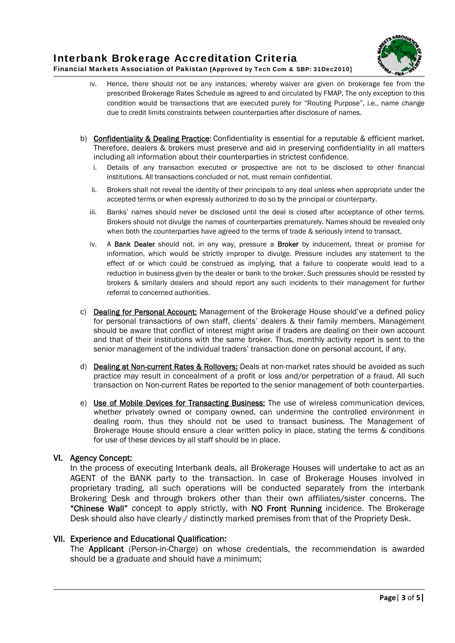

# Interbank Brokerage Accreditation Criteria Financial Markets Association of Pakistan [Approved by Tech Com & SBP: 31Dec2010]

- iv. Hence, there should not be any instances, whereby waiver are given on brokerage fee from the prescribed Brokerage Rates Schedule as agreed to and circulated by FMAP. The only exception to this condition would be transactions that are executed purely for "Routing Purpose", i.e., name change due to credit limits constraints between counterparties after disclosure of names.
- b) Confidentiality & Dealing Practice: Confidentiality is essential for a reputable  $&$  efficient market. Therefore, dealers & brokers must preserve and aid in preserving confidentiality in all matters including all information about their counterparties in strictest confidence.
	- i. Details of any transaction executed or prospective are not to be disclosed to other financial institutions. All transactions concluded or not, must remain confidential.
	- ii. Brokers shall not reveal the identity of their principals to any deal unless when appropriate under the accepted terms or when expressly authorized to do so by the principal or counterparty.
	- iii. Banks' names should never be disclosed until the deal is closed after acceptance of other terms. Brokers should not divulge the names of counterparties prematurely. Names should be revealed only when both the counterparties have agreed to the terms of trade & seriously intend to transact.
	- iv. A Bank Dealer should not, in any way, pressure a Broker by inducement, threat or promise for information, which would be strictly improper to divulge. Pressure includes any statement to the effect of or which could be construed as implying, that a failure to cooperate would lead to a reduction in business given by the dealer or bank to the broker. Such pressures should be resisted by brokers & similarly dealers and should report any such incidents to their management for further referral to concerned authorities.
- c) Dealing for Personal Account: Management of the Brokerage House should've a defined policy for personal transactions of own staff, clients' dealers & their family members. Management should be aware that conflict of interest might arise if traders are dealing on their own account and that of their institutions with the same broker. Thus, monthly activity report is sent to the senior management of the individual traders' transaction done on personal account, if any.
- d) Dealing at Non-current Rates & Rollovers: Deals at non-market rates should be avoided as such practice may result in concealment of a profit or loss and/or perpetration of a fraud. All such transaction on Non-current Rates be reported to the senior management of both counterparties.
- e) Use of Mobile Devices for Transacting Business: The use of wireless communication devices, whether privately owned or company owned, can undermine the controlled environment in dealing room, thus they should not be used to transact business. The Management of Brokerage House should ensure a clear written policy in place, stating the terms & conditions for use of these devices by all staff should be in place.

### VI. Agency Concept:

In the process of executing Interbank deals, all Brokerage Houses will undertake to act as an AGENT of the BANK party to the transaction. In case of Brokerage Houses involved in proprietary trading, all such operations will be conducted separately from the interbank Brokering Desk and through brokers other than their own affiliates/sister concerns. The "Chinese Wall" concept to apply strictly, with NO Front Running incidence. The Brokerage Desk should also have clearly / distinctly marked premises from that of the Propriety Desk.

### VII. Experience and Educational Qualification:

The Applicant (Person-in-Charge) on whose credentials, the recommendation is awarded should be a graduate and should have a minimum;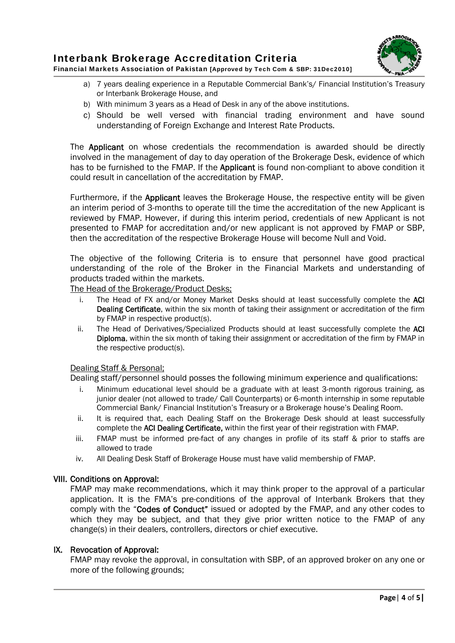

- a) 7 years dealing experience in a Reputable Commercial Bank's/ Financial Institution's Treasury or Interbank Brokerage House, and
- b) With minimum 3 years as a Head of Desk in any of the above institutions.
- c) Should be well versed with financial trading environment and have sound understanding of Foreign Exchange and Interest Rate Products.

The Applicant on whose credentials the recommendation is awarded should be directly involved in the management of day to day operation of the Brokerage Desk, evidence of which has to be furnished to the FMAP. If the **Applicant** is found non-compliant to above condition it could result in cancellation of the accreditation by FMAP.

Furthermore, if the Applicant leaves the Brokerage House, the respective entity will be given an interim period of 3-months to operate till the time the accreditation of the new Applicant is reviewed by FMAP. However, if during this interim period, credentials of new Applicant is not presented to FMAP for accreditation and/or new applicant is not approved by FMAP or SBP, then the accreditation of the respective Brokerage House will become Null and Void.

The objective of the following Criteria is to ensure that personnel have good practical understanding of the role of the Broker in the Financial Markets and understanding of products traded within the markets.

The Head of the Brokerage/Product Desks;

- i. The Head of FX and/or Money Market Desks should at least successfully complete the ACI Dealing Certificate, within the six month of taking their assignment or accreditation of the firm by FMAP in respective product(s).
- ii. The Head of Derivatives/Specialized Products should at least successfully complete the ACI Diploma, within the six month of taking their assignment or accreditation of the firm by FMAP in the respective product(s).

### Dealing Staff & Personal;

Dealing staff/personnel should posses the following minimum experience and qualifications:

- i. Minimum educational level should be a graduate with at least 3-month rigorous training, as junior dealer (not allowed to trade/ Call Counterparts) or 6-month internship in some reputable Commercial Bank/ Financial Institution's Treasury or a Brokerage house's Dealing Room.
- ii. It is required that, each Dealing Staff on the Brokerage Desk should at least successfully complete the ACI Dealing Certificate, within the first year of their registration with FMAP.
- iii. FMAP must be informed pre-fact of any changes in profile of its staff & prior to staffs are allowed to trade
- iv. All Dealing Desk Staff of Brokerage House must have valid membership of FMAP.

# VIII. Conditions on Approval:

FMAP may make recommendations, which it may think proper to the approval of a particular application. It is the FMA's pre-conditions of the approval of Interbank Brokers that they comply with the "Codes of Conduct" issued or adopted by the FMAP, and any other codes to which they may be subject, and that they give prior written notice to the FMAP of any change(s) in their dealers, controllers, directors or chief executive.

# IX. Revocation of Approval:

FMAP may revoke the approval, in consultation with SBP, of an approved broker on any one or more of the following grounds;